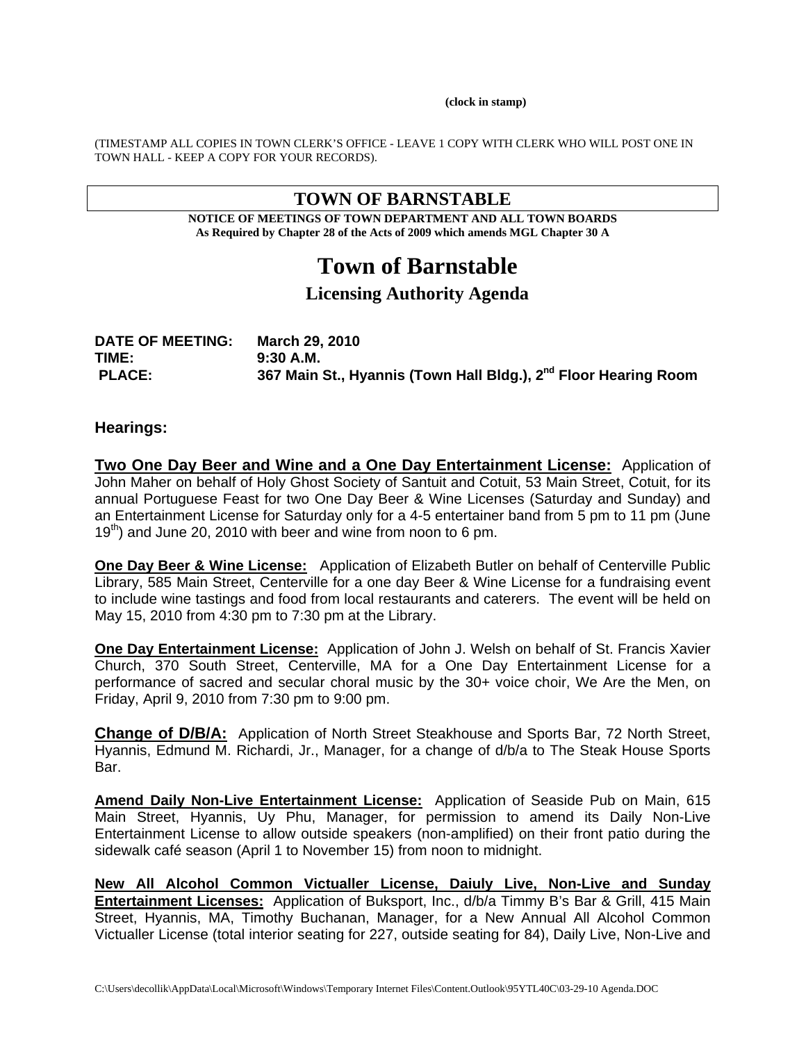**(clock in stamp)** 

(TIMESTAMP ALL COPIES IN TOWN CLERK'S OFFICE - LEAVE 1 COPY WITH CLERK WHO WILL POST ONE IN TOWN HALL - KEEP A COPY FOR YOUR RECORDS).

# **TOWN OF BARNSTABLE**

**NOTICE OF MEETINGS OF TOWN DEPARTMENT AND ALL TOWN BOARDS As Required by Chapter 28 of the Acts of 2009 which amends MGL Chapter 30 A** 

# **Town of Barnstable**

# **Licensing Authority Agenda**

| <b>DATE OF MEETING:</b> | March 29, 2010                                                              |
|-------------------------|-----------------------------------------------------------------------------|
| TIME:                   | 9:30 A.M.                                                                   |
| <b>PLACE:</b>           | 367 Main St., Hyannis (Town Hall Bldg.), 2 <sup>nd</sup> Floor Hearing Room |

#### **Hearings:**

**Two One Day Beer and Wine and a One Day Entertainment License:** Application of John Maher on behalf of Holy Ghost Society of Santuit and Cotuit, 53 Main Street, Cotuit, for its annual Portuguese Feast for two One Day Beer & Wine Licenses (Saturday and Sunday) and an Entertainment License for Saturday only for a 4-5 entertainer band from 5 pm to 11 pm (June  $19<sup>th</sup>$ ) and June 20, 2010 with beer and wine from noon to 6 pm.

**One Day Beer & Wine License:** Application of Elizabeth Butler on behalf of Centerville Public Library, 585 Main Street, Centerville for a one day Beer & Wine License for a fundraising event to include wine tastings and food from local restaurants and caterers. The event will be held on May 15, 2010 from 4:30 pm to 7:30 pm at the Library.

**One Day Entertainment License:** Application of John J. Welsh on behalf of St. Francis Xavier Church, 370 South Street, Centerville, MA for a One Day Entertainment License for a performance of sacred and secular choral music by the 30+ voice choir, We Are the Men, on Friday, April 9, 2010 from 7:30 pm to 9:00 pm.

**Change of D/B/A:** Application of North Street Steakhouse and Sports Bar, 72 North Street, Hyannis, Edmund M. Richardi, Jr., Manager, for a change of d/b/a to The Steak House Sports Bar.

**Amend Daily Non-Live Entertainment License:** Application of Seaside Pub on Main, 615 Main Street, Hyannis, Uy Phu, Manager, for permission to amend its Daily Non-Live Entertainment License to allow outside speakers (non-amplified) on their front patio during the sidewalk café season (April 1 to November 15) from noon to midnight.

**New All Alcohol Common Victualler License, Daiuly Live, Non-Live and Sunday Entertainment Licenses:** Application of Buksport, Inc., d/b/a Timmy B's Bar & Grill, 415 Main Street, Hyannis, MA, Timothy Buchanan, Manager, for a New Annual All Alcohol Common Victualler License (total interior seating for 227, outside seating for 84), Daily Live, Non-Live and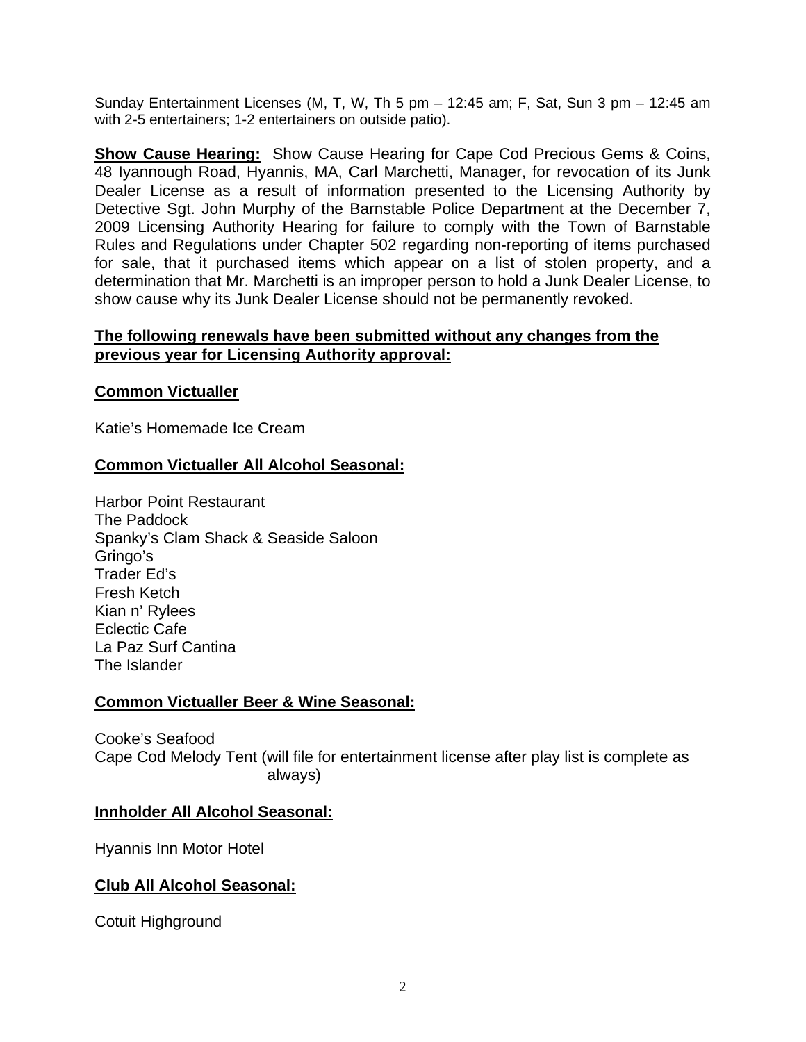Sunday Entertainment Licenses (M, T, W, Th 5 pm – 12:45 am; F, Sat, Sun 3 pm – 12:45 am with 2-5 entertainers; 1-2 entertainers on outside patio).

**Show Cause Hearing:** Show Cause Hearing for Cape Cod Precious Gems & Coins, 48 Iyannough Road, Hyannis, MA, Carl Marchetti, Manager, for revocation of its Junk Dealer License as a result of information presented to the Licensing Authority by Detective Sgt. John Murphy of the Barnstable Police Department at the December 7, 2009 Licensing Authority Hearing for failure to comply with the Town of Barnstable Rules and Regulations under Chapter 502 regarding non-reporting of items purchased for sale, that it purchased items which appear on a list of stolen property, and a determination that Mr. Marchetti is an improper person to hold a Junk Dealer License, to show cause why its Junk Dealer License should not be permanently revoked.

# **The following renewals have been submitted without any changes from the previous year for Licensing Authority approval:**

## **Common Victualler**

Katie's Homemade Ice Cream

# **Common Victualler All Alcohol Seasonal:**

Harbor Point Restaurant The Paddock Spanky's Clam Shack & Seaside Saloon Gringo's Trader Ed's Fresh Ketch Kian n' Rylees Eclectic Cafe La Paz Surf Cantina The Islander

#### **Common Victualler Beer & Wine Seasonal:**

Cooke's Seafood Cape Cod Melody Tent (will file for entertainment license after play list is complete as always)

#### **Innholder All Alcohol Seasonal:**

Hyannis Inn Motor Hotel

# **Club All Alcohol Seasonal:**

Cotuit Highground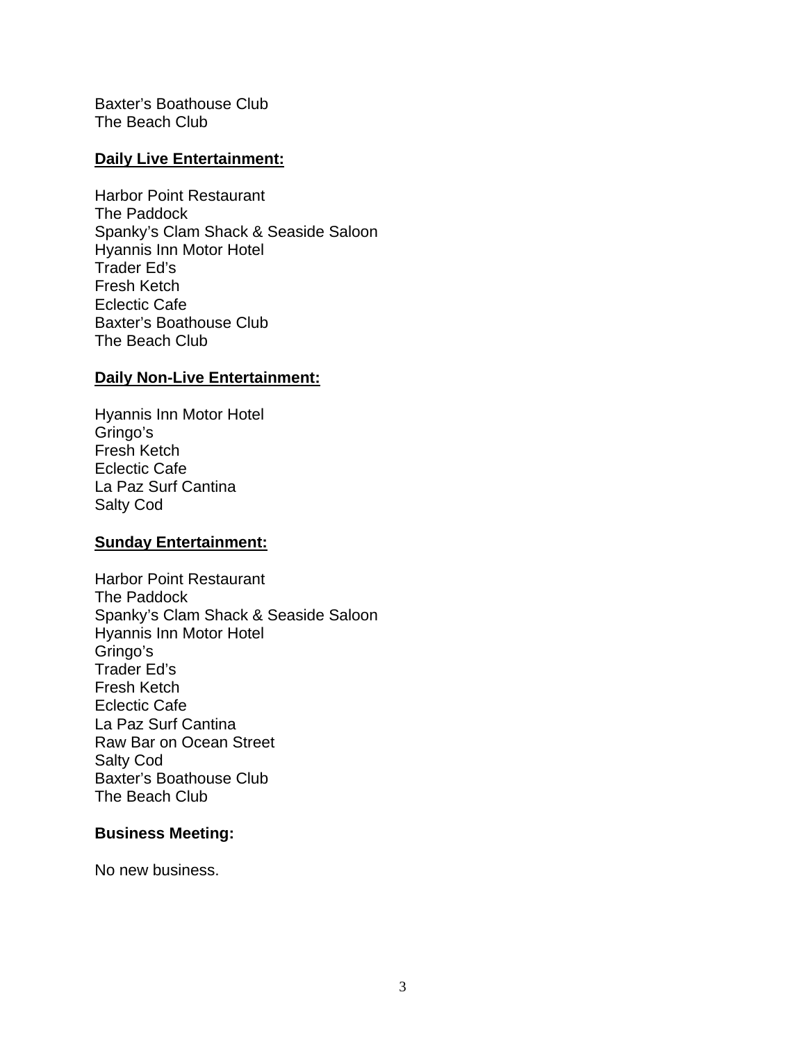Baxter's Boathouse Club The Beach Club

## **Daily Live Entertainment:**

Harbor Point Restaurant The Paddock Spanky's Clam Shack & Seaside Saloon Hyannis Inn Motor Hotel Trader Ed's Fresh Ketch Eclectic Cafe Baxter's Boathouse Club The Beach Club

# **Daily Non-Live Entertainment:**

Hyannis Inn Motor Hotel Gringo's Fresh Ketch Eclectic Cafe La Paz Surf Cantina Salty Cod

#### **Sunday Entertainment:**

Harbor Point Restaurant The Paddock Spanky's Clam Shack & Seaside Saloon Hyannis Inn Motor Hotel Gringo's Trader Ed's Fresh Ketch Eclectic Cafe La Paz Surf Cantina Raw Bar on Ocean Street Salty Cod Baxter's Boathouse Club The Beach Club

#### **Business Meeting:**

No new business.